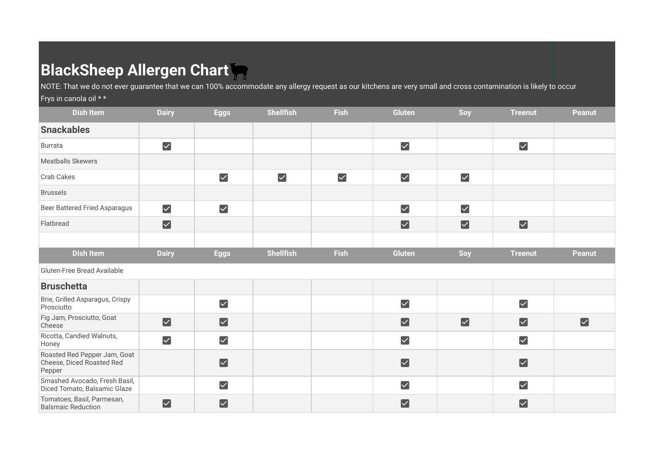## **BlackSheep Allergen Chart**

NOTE: That we do not ever guarantee that we can 100% accommodate any allergy request as our kitchens are very small and cross contamination is likely to occur Frys in canola oil \* \*

## **Dish Item Dairy Eggs Shellfish Fish Gluten Soy Treenut Peanut Snackables**   $\blacktriangledown$  $\blacktriangledown$  $\overline{\mathsf{v}}$ Burrata Meatballs Skewers Crab Cakes  $\blacktriangledown$  $\blacktriangledown$  $\blacktriangledown$  $\blacktriangledown$  $\blacktriangledown$ Brussels  $\overline{\mathsf{v}}$ Beer Battered Fried Asparagus  $\blacktriangledown$  $\blacktriangledown$  $\blacktriangledown$  $\blacktriangledown$  $\overline{\mathsf{v}}$  $\overline{\mathbf{v}}$ Flatbread  $\blacktriangledown$ **Dish Item Dairy Eggs Shellfish Fish Gluten Soy Treenut Peanut** Gluten-Free Bread Available **Bruschetta** Brie, Grilled Asparagus, Crispy  $\blacktriangledown$  $\blacktriangledown$  $\blacktriangledown$ Prosciutto Fig Jam, Prosciutto, Goat  $\blacktriangledown$  $\overline{\mathsf{v}}$  $\overline{\mathbf{v}}$  $\overline{\mathbf{v}}$  $\overline{\mathbf{v}}$  $\blacktriangledown$ Cheese Ricotta, Candied Walnuts,  $\blacktriangledown$  $\overline{\vee}$  $\overline{\vee}$  $\overline{\mathsf{v}}$ **Honey** Roasted Red Pepper Jam, Goat  $\blacktriangledown$ Cheese, Diced Roasted Red  $\blacktriangledown$  $\overline{\mathsf{v}}$ Pepper Smashed Avocado, Fresh Basil,  $\blacktriangledown$  $\blacktriangledown$  $\blacktriangledown$ Diced Tomato, Balsamic Glaze Tomatoes, Basil, Parmesan,  $\blacktriangledown$  $\blacktriangledown$  $\blacktriangledown$  $\blacktriangledown$ Balsmaic Reduction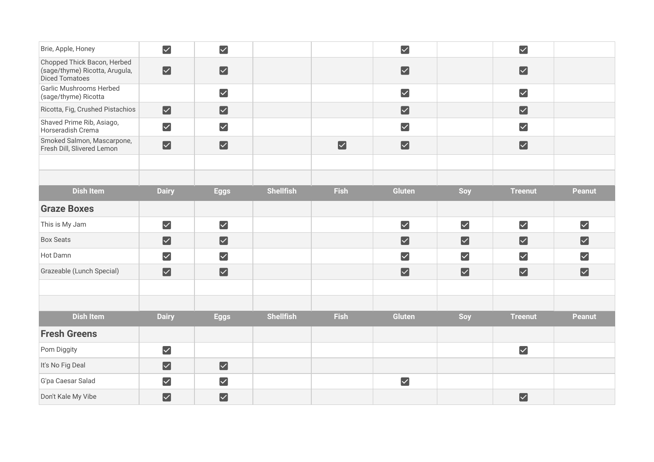| Brie, Apple, Honey                                                                     | $\blacktriangledown$  | $\blacktriangleright$ |                  |                      | $\blacktriangledown$  |                      | $\blacktriangledown$  |                      |
|----------------------------------------------------------------------------------------|-----------------------|-----------------------|------------------|----------------------|-----------------------|----------------------|-----------------------|----------------------|
| Chopped Thick Bacon, Herbed<br>(sage/thyme) Ricotta, Arugula,<br><b>Diced Tomatoes</b> | $\blacktriangledown$  | $\blacktriangledown$  |                  |                      | $\blacktriangledown$  |                      | $\boxed{\checkmark}$  |                      |
| <b>Garlic Mushrooms Herbed</b><br>(sage/thyme) Ricotta                                 |                       | $\blacktriangledown$  |                  |                      | $\blacktriangledown$  |                      | $\blacktriangledown$  |                      |
| Ricotta, Fig, Crushed Pistachios                                                       | $\blacktriangledown$  | $\blacktriangledown$  |                  |                      | $\blacktriangledown$  |                      | $\boxed{\checkmark}$  |                      |
| Shaved Prime Rib, Asiago,<br>Horseradish Crema                                         | $\blacktriangledown$  | $\blacktriangledown$  |                  |                      | $\blacktriangledown$  |                      | $\blacktriangleright$ |                      |
| Smoked Salmon, Mascarpone,<br>Fresh Dill, Slivered Lemon                               | $\blacktriangledown$  | $\blacktriangledown$  |                  | $\blacktriangledown$ | $\blacktriangleright$ |                      | $\boxed{\checkmark}$  |                      |
|                                                                                        |                       |                       |                  |                      |                       |                      |                       |                      |
|                                                                                        |                       |                       |                  |                      |                       |                      |                       |                      |
| <b>Dish Item</b>                                                                       | <b>Dairy</b>          | <b>Eggs</b>           | <b>Shellfish</b> | <b>Fish</b>          | Gluten                | Soy                  | <b>Treenut</b>        | <b>Peanut</b>        |
| <b>Graze Boxes</b>                                                                     |                       |                       |                  |                      |                       |                      |                       |                      |
| This is My Jam                                                                         | $\blacktriangledown$  | $\blacktriangledown$  |                  |                      | $\blacktriangledown$  | $\blacktriangledown$ | $\boxed{\checkmark}$  | $\blacktriangledown$ |
| <b>Box Seats</b>                                                                       | $\blacktriangledown$  | $\blacktriangledown$  |                  |                      | $\blacktriangledown$  | $\blacktriangledown$ | $\blacktriangledown$  | $\blacktriangledown$ |
| Hot Damn                                                                               | $\blacktriangledown$  | $\blacktriangledown$  |                  |                      | $\blacktriangledown$  | $\blacktriangledown$ | $\blacktriangledown$  | $\blacktriangledown$ |
| Grazeable (Lunch Special)                                                              | $\blacktriangledown$  | $\blacktriangleright$ |                  |                      | $\blacktriangleright$ | $\blacktriangledown$ | $\blacktriangleright$ | $\blacktriangledown$ |
|                                                                                        |                       |                       |                  |                      |                       |                      |                       |                      |
|                                                                                        |                       |                       |                  |                      |                       |                      |                       |                      |
| <b>Dish Item</b>                                                                       | <b>Dairy</b>          | <b>Eggs</b>           | <b>Shellfish</b> | <b>Fish</b>          | <b>Gluten</b>         | Soy                  | <b>Treenut</b>        | <b>Peanut</b>        |
| <b>Fresh Greens</b>                                                                    |                       |                       |                  |                      |                       |                      |                       |                      |
| Pom Diggity                                                                            | $\blacktriangledown$  |                       |                  |                      |                       |                      | $\blacktriangleright$ |                      |
| It's No Fig Deal                                                                       | $\blacktriangledown$  | $\blacktriangleright$ |                  |                      |                       |                      |                       |                      |
| G'pa Caesar Salad                                                                      | $\blacktriangledown$  | $\blacktriangledown$  |                  |                      | $\blacktriangledown$  |                      |                       |                      |
| Don't Kale My Vibe                                                                     | $\blacktriangleright$ | $\blacktriangleright$ |                  |                      |                       |                      | $\boxed{\checkmark}$  |                      |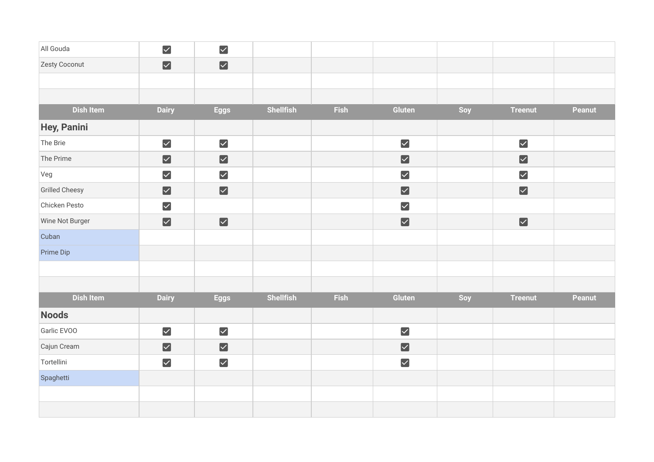| All Gouda             | $\blacktriangledown$  | $\blacktriangledown$  |                  |             |                      |     |                      |               |
|-----------------------|-----------------------|-----------------------|------------------|-------------|----------------------|-----|----------------------|---------------|
| Zesty Coconut         | $\blacktriangledown$  | $\blacktriangledown$  |                  |             |                      |     |                      |               |
|                       |                       |                       |                  |             |                      |     |                      |               |
|                       |                       |                       |                  |             |                      |     |                      |               |
| <b>Dish Item</b>      | <b>Dairy</b>          | <b>Eggs</b>           | Shellfish        | Fish        | Gluten               | Soy | <b>Treenut</b>       | Peanut        |
| <b>Hey, Panini</b>    |                       |                       |                  |             |                      |     |                      |               |
| The Brie              | $\blacktriangledown$  | $\blacktriangledown$  |                  |             | $\blacktriangledown$ |     | $\blacktriangledown$ |               |
| The Prime             | $\blacktriangledown$  | $\blacktriangledown$  |                  |             | $\blacktriangledown$ |     | $\blacktriangledown$ |               |
| Veg                   | $\blacktriangledown$  | $\blacktriangledown$  |                  |             | $\blacktriangledown$ |     | $\blacktriangledown$ |               |
| <b>Grilled Cheesy</b> | $\blacktriangledown$  | $\blacktriangledown$  |                  |             | $\blacktriangledown$ |     | $\blacktriangledown$ |               |
| Chicken Pesto         | $\blacktriangledown$  |                       |                  |             | $\blacktriangledown$ |     |                      |               |
| Wine Not Burger       | $\blacktriangledown$  | $\blacktriangledown$  |                  |             | $\blacktriangledown$ |     | $\blacktriangledown$ |               |
| Cuban                 |                       |                       |                  |             |                      |     |                      |               |
| Prime Dip             |                       |                       |                  |             |                      |     |                      |               |
|                       |                       |                       |                  |             |                      |     |                      |               |
|                       |                       |                       |                  |             |                      |     |                      |               |
| <b>Dish Item</b>      | <b>Dairy</b>          | <b>Eggs</b>           | <b>Shellfish</b> | <b>Fish</b> | Gluten               | Soy | <b>Treenut</b>       | <b>Peanut</b> |
| <b>Noods</b>          |                       |                       |                  |             |                      |     |                      |               |
| Garlic EVOO           | $\blacktriangledown$  | $\blacktriangledown$  |                  |             | $\blacktriangledown$ |     |                      |               |
| Cajun Cream           | $\blacktriangleright$ | $\blacktriangleright$ |                  |             | $\blacktriangledown$ |     |                      |               |
| Tortellini            | $\blacktriangledown$  | $\blacktriangledown$  |                  |             | $\blacktriangledown$ |     |                      |               |
| Spaghetti             |                       |                       |                  |             |                      |     |                      |               |
|                       |                       |                       |                  |             |                      |     |                      |               |
|                       |                       |                       |                  |             |                      |     |                      |               |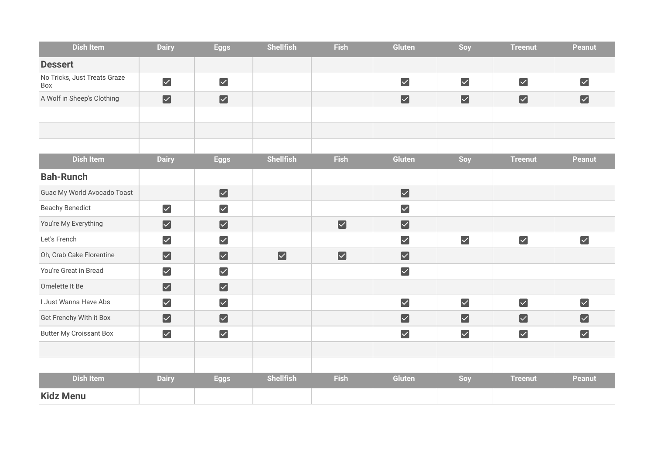| <b>Dish Item</b>                    | <b>Dairy</b>          | <b>Eggs</b>          | <b>Shellfish</b>     | <b>Fish</b>          | <b>Gluten</b>         | Soy                   | <b>Treenut</b>       | <b>Peanut</b>         |
|-------------------------------------|-----------------------|----------------------|----------------------|----------------------|-----------------------|-----------------------|----------------------|-----------------------|
| <b>Dessert</b>                      |                       |                      |                      |                      |                       |                       |                      |                       |
| No Tricks, Just Treats Graze<br>Box | $\blacktriangledown$  | $\blacktriangledown$ |                      |                      | $\blacktriangledown$  | $\blacktriangledown$  | $\blacktriangledown$ | $\blacktriangledown$  |
| A Wolf in Sheep's Clothing          | $\blacktriangleright$ | $\blacktriangledown$ |                      |                      | $\blacktriangleright$ | $\blacktriangleright$ | $\boxed{\checkmark}$ | $\blacktriangledown$  |
|                                     |                       |                      |                      |                      |                       |                       |                      |                       |
|                                     |                       |                      |                      |                      |                       |                       |                      |                       |
|                                     |                       |                      |                      |                      |                       |                       |                      |                       |
| Dish Item                           | <b>Dairy</b>          | <b>Eggs</b>          | <b>Shellfish</b>     | <b>Fish</b>          | Gluten                | Soy                   | <b>Treenut</b>       | Peanut                |
| <b>Bah-Runch</b>                    |                       |                      |                      |                      |                       |                       |                      |                       |
| Guac My World Avocado Toast         |                       | $\blacktriangledown$ |                      |                      | $\blacktriangledown$  |                       |                      |                       |
| <b>Beachy Benedict</b>              | $\blacktriangledown$  | $\blacktriangledown$ |                      |                      | $\blacktriangledown$  |                       |                      |                       |
| You're My Everything                | $\blacktriangledown$  | $\blacktriangledown$ |                      | $\blacktriangledown$ | $\blacktriangleright$ |                       |                      |                       |
| Let's French                        | $\blacktriangledown$  | $\blacktriangledown$ |                      |                      | $\blacktriangledown$  | $\blacktriangledown$  | $\blacktriangledown$ | $\blacktriangledown$  |
| Oh, Crab Cake Florentine            | $\boxed{\checkmark}$  | $\blacktriangledown$ | $\boxed{\checkmark}$ | $\blacktriangledown$ | $\blacktriangledown$  |                       |                      |                       |
| You're Great in Bread               | $\blacktriangledown$  | $\blacktriangledown$ |                      |                      | $\blacktriangleright$ |                       |                      |                       |
| Omelette It Be                      | $\blacktriangleright$ | $\blacktriangledown$ |                      |                      |                       |                       |                      |                       |
| I Just Wanna Have Abs               | $\blacktriangledown$  | $\blacktriangledown$ |                      |                      | $\blacktriangledown$  | $\blacktriangledown$  | $\blacktriangledown$ | $\blacktriangledown$  |
| Get Frenchy WIth it Box             | $\blacktriangleright$ | $\boxed{\checkmark}$ |                      |                      | $\blacktriangledown$  | $\blacktriangledown$  | $\boxed{\checkmark}$ | $\blacktriangleright$ |
| <b>Butter My Croissant Box</b>      | $\blacktriangledown$  | $\blacktriangledown$ |                      |                      | $\blacktriangledown$  | $\blacktriangledown$  | $\blacktriangledown$ | $\blacktriangledown$  |
|                                     |                       |                      |                      |                      |                       |                       |                      |                       |
|                                     |                       |                      |                      |                      |                       |                       |                      |                       |
| <b>Dish Item</b>                    | <b>Dairy</b>          | <b>Eggs</b>          | <b>Shellfish</b>     | <b>Fish</b>          | <b>Gluten</b>         | Soy                   | <b>Treenut</b>       | <b>Peanut</b>         |
| <b>Kidz Menu</b>                    |                       |                      |                      |                      |                       |                       |                      |                       |